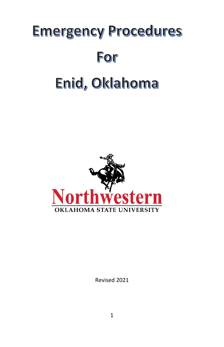# **Emergency Procedures** For Enid, Oklahoma



Revised 2021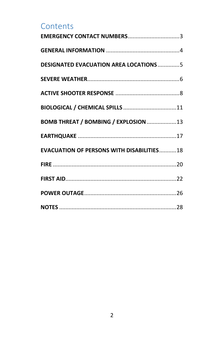### **Contents**

| EMERGENCY CONTACT NUMBERS3                       |  |
|--------------------------------------------------|--|
|                                                  |  |
| <b>DESIGNATED EVACUATION AREA LOCATIONS 5</b>    |  |
|                                                  |  |
|                                                  |  |
|                                                  |  |
| BOMB THREAT / BOMBING / EXPLOSION 13             |  |
|                                                  |  |
| <b>EVACUATION OF PERSONS WITH DISABILITIES18</b> |  |
|                                                  |  |
|                                                  |  |
|                                                  |  |
|                                                  |  |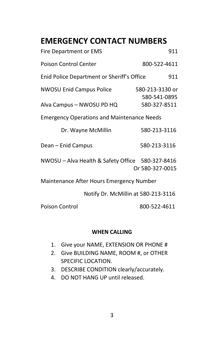# <span id="page-2-0"></span>**EMERGENCY CONTACT NUMBERS**

| <b>Fire Department or EMS</b>                                | 911                                             |  |  |  |
|--------------------------------------------------------------|-------------------------------------------------|--|--|--|
| Poison Control Center                                        | 800-522-4611                                    |  |  |  |
| Enid Police Department or Sheriff's Office<br>911            |                                                 |  |  |  |
| <b>NWOSU Enid Campus Police</b><br>Alva Campus - NWOSU PD HQ | 580-213-3130 or<br>580-541-0895<br>580-327-8511 |  |  |  |
| <b>Emergency Operations and Maintenance Needs</b>            |                                                 |  |  |  |
| Dr. Wayne McMillin                                           | 580-213-3116                                    |  |  |  |
| Dean – Enid Campus                                           | 580-213-3116                                    |  |  |  |
| NWOSU - Alva Health & Safety Office 580-327-8416             | Or 580-327-0015                                 |  |  |  |
| Maintenance After Hours Emergency Number                     |                                                 |  |  |  |
| Notify Dr. McMillin at 580-213-3116                          |                                                 |  |  |  |

Poison Control 800-522-4611

### **WHEN CALLING**

- 1. Give your NAME, EXTENSION OR PHONE #
- 2. Give BUILDING NAME, ROOM #, or OTHER SPECIFIC LOCATION.
- 3. DESCRIBE CONDITION clearly/accurately.
- 4. DO NOT HANG UP until released.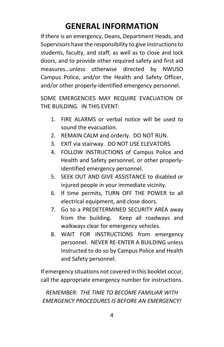# **GENERAL INFORMATION**

<span id="page-3-0"></span>If there is an emergency, Deans, Department Heads, and Supervisors have the responsibility to give instructions to students, faculty, and staff, as well as to close and lock doors, and to provide other required safety and first aid measures…unless otherwise directed by NWUSO Campus Police, and/or the Health and Safety Officer, and/or other properly-identified emergency personnel.

SOME EMERGENCIES MAY REQUIRE EVACUATION OF THE BUILDING. IN THIS EVENT:

- 1. FIRE ALARMS or verbal notice will be used to sound the evacuation.
- 2. REMAIN CALM and orderly. DO NOT RUN.
- 3. EXIT via stairway. DO NOT USE ELEVATORS.
- 4. FOLLOW INSTRUCTIONS of Campus Police and Health and Safety personnel, or other properlyidentified emergency personnel.
- 5. SEEK OUT AND GIVE ASSISTANCE to disabled or injured people in your immediate vicinity.
- 6. If time permits, TURN OFF THE POWER to all electrical equipment, and close doors.
- 7. Go to a PREDETERMINED SECURITY AREA away from the building. Keep all roadways and walkways clear for emergency vehicles.
- 8. WAIT FOR INSTRUCTIONS from emergency personnel. NEVER RE-ENTER A BUILDING unless instructed to do so by Campus Police and Health and Safety personnel.

If emergency situations not covered in this booklet occur, call the appropriate emergency number for instructions.

*REMEMBER: THE TIME TO BECOME FAMILIAR WITH EMERGENCY PROCEDURES IS BEFORE AN EMERGENCY!*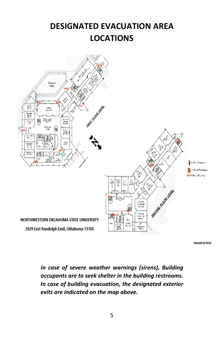# <span id="page-4-0"></span>**DESIGNATED EVACUATION AREA LOCATIONS**



**Revised 8/2016** 

*In case of severe weather warnings (sirens), Building occupants are to seek shelter in the building restrooms. In case of building evacuation, the designated exterior exits are indicated on the map above.*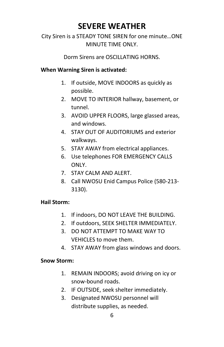# **SEVERE WEATHER**

### <span id="page-5-0"></span>City Siren is a STEADY TONE SIREN for one minute…ONE MINUTE TIME ONLY.

Dorm Sirens are OSCILLATING HORNS.

#### **When Warning Siren is activated:**

- 1. If outside, MOVE INDOORS as quickly as possible.
- 2. MOVE TO INTERIOR hallway, basement, or tunnel.
- 3. AVOID UPPER FLOORS, large glassed areas, and windows.
- 4. STAY OUT OF AUDITORIUMS and exterior walkways.
- 5. STAY AWAY from electrical appliances.
- 6. Use telephones FOR EMERGENCY CALLS ONLY.
- 7. STAY CALM AND ALERT.
- 8. Call NWOSU Enid Campus Police (580-213- 3130).

### **Hail Storm:**

- 1. If indoors, DO NOT LEAVE THE BUILDING.
- 2. If outdoors, SEEK SHELTER IMMEDIATELY.
- 3. DO NOT ATTEMPT TO MAKE WAY TO VEHICLES to move them.
- 4. STAY AWAY from glass windows and doors.

### **Snow Storm:**

- 1. REMAIN INDOORS; avoid driving on icy or snow-bound roads.
- 2. IF OUTSIDE, seek shelter immediately.
- 3. Designated NWOSU personnel will distribute supplies, as needed.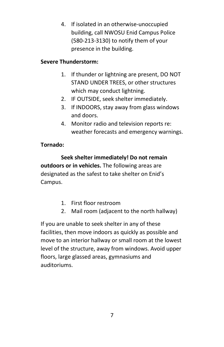4. If isolated in an otherwise-unoccupied building, call NWOSU Enid Campus Police (580-213-3130) to notify them of your presence in the building.

### **Severe Thunderstorm:**

- 1. If thunder or lightning are present, DO NOT STAND UNDER TREES, or other structures which may conduct lightning.
- 2. IF OUTSIDE, seek shelter immediately.
- 3. If INDOORS, stay away from glass windows and doors.
- 4. Monitor radio and television reports re: weather forecasts and emergency warnings.

### **Tornado:**

**Seek shelter immediately! Do not remain outdoors or in vehicles.** The following areas are designated as the safest to take shelter on Enid's Campus.

- 1. First floor restroom
- 2. Mail room (adjacent to the north hallway)

If you are unable to seek shelter in any of these facilities, then move indoors as quickly as possible and move to an interior hallway or small room at the lowest level of the structure, away from windows. Avoid upper floors, large glassed areas, gymnasiums and auditoriums.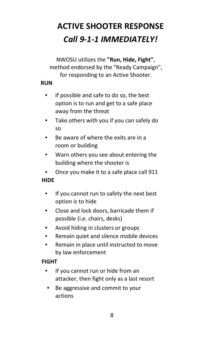# <span id="page-7-0"></span>**ACTIVE SHOOTER RESPONSE** *Call 9-1-1 IMMEDIATELY!*

NWOSU utilizes the **"Run, Hide, Fight"**, method endorsed by the "Ready Campaign", for responding to an Active Shooter.

### **RUN**

- If possible and safe to do so, the best option is to run and get to a safe place away from the threat
- Take others with you if you can safely do so
- Be aware of where the exits are in a room or building
- Warn others you see about entering the building where the shooter is
- Once you make it to a safe place call 911

### **HIDE**

- If you cannot run to safety the next best option is to hide
- Close and lock doors, barricade them if possible (i.e. chairs, desks)
- Avoid hiding in clusters or groups
- Remain quiet and silence mobile devices
- Remain in place until instructed to move by law enforcement

### **FIGHT**

- If you cannot run or hide from an attacker, then fight only as a last resort
- Be aggressive and commit to your actions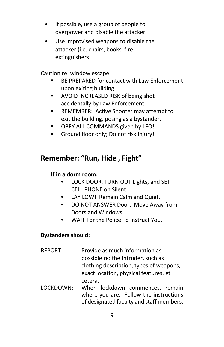- If possible, use a group of people to overpower and disable the attacker
- Use improvised weapons to disable the attacker (i.e. chairs, books, fire extinguishers

Caution re: window escape:

- **BE PREPARED for contact with Law Enforcement** upon exiting building.
- **AVOID INCREASED RISK of being shot** accidentally by Law Enforcement.
- **REMEMBER: Active Shooter may attempt to** exit the building, posing as a bystander.
- **DEY ALL COMMANDS given by LEO!**
- Ground floor only; Do not risk injury!

### **Remember: "Run, Hide , Fight"**

### **If in a dorm room:**

- LOCK DOOR, TURN OUT Lights, and SET CELL PHONE on Silent.
- LAY LOW! Remain Calm and Quiet.
- DO NOT ANSWER Door. Move Away from Doors and Windows.
- WAIT For the Police To Instruct You.

### **Bystanders should:**

- REPORT: Provide as much information as possible re: the Intruder, such as clothing description, types of weapons, exact location, physical features, et cetera.
- LOCKDOWN: When lockdown commences, remain where you are. Follow the instructions of designated faculty and staff members.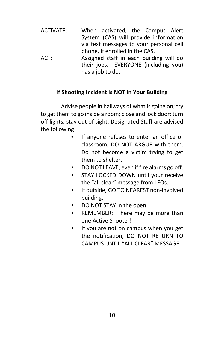ACTIVATE: When activated, the Campus Alert System (CAS) will provide information via text messages to your personal cell phone, if enrolled in the CAS. ACT: Assigned staff in each building will do their jobs. EVERYONE (including you) has a job to do.

### **If Shooting Incident Is NOT In Your Building**

Advise people in hallways of what is going on; try to get them to go inside a room; close and lock door; turn off lights, stay out of sight. Designated Staff are advised the following:

- If anyone refuses to enter an office or classroom, DO NOT ARGUE with them. Do not become a victim trying to get them to shelter.
- DO NOT LEAVE, even if fire alarms go off.
- STAY LOCKED DOWN until your receive the "all clear" message from LEOs.
- If outside, GO TO NEAREST non-involved building.
- DO NOT STAY in the open.
- REMEMBER: There may be more than one Active Shooter!
- If you are not on campus when you get the notification, DO NOT RETURN TO CAMPUS UNTIL "ALL CLEAR" MESSAGE.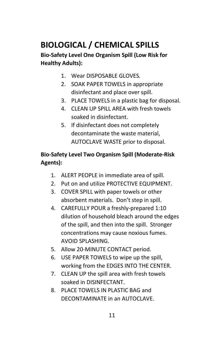# <span id="page-10-0"></span>**BIOLOGICAL / CHEMICAL SPILLS**

### **Bio-Safety Level One Organism Spill (Low Risk for Healthy Adults):**

- 1. Wear DISPOSABLE GLOVES.
- 2. SOAK PAPER TOWELS in appropriate disinfectant and place over spill.
- 3. PLACE TOWELS in a plastic bag for disposal.
- 4. CLEAN UP SPILL AREA with fresh towels soaked in disinfectant.
- 5. If disinfectant does not completely decontaminate the waste material, AUTOCLAVE WASTE prior to disposal.

### **Bio-Safety Level Two Organism Spill (Moderate-Risk Agents):**

- 1. ALERT PEOPLE in immediate area of spill.
- 2. Put on and utilize PROTECTIVE EQUIPMENT.
- 3. COVER SPILL with paper towels or other absorbent materials. Don't step in spill.
- 4. CAREFULLY POUR a freshly-prepared 1:10 dilution of household bleach around the edges of the spill, and then into the spill. Stronger concentrations may cause noxious fumes. AVOID SPLASHING.
- 5. Allow 20-MINUTE CONTACT period.
- 6. USE PAPER TOWELS to wipe up the spill, working from the EDGES INTO THE CENTER.
- 7. CLEAN UP the spill area with fresh towels soaked in DISINFECTANT.
- 8. PLACE TOWELS IN PLASTIC BAG and DECONTAMINATE in an AUTOCLAVE.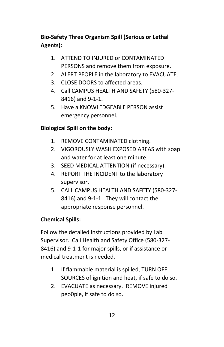### **Bio-Safety Three Organism Spill (Serious or Lethal Agents):**

- 1. ATTEND TO INJURED or CONTAMINATED PERSONS and remove them from exposure.
- 2. ALERT PEOPLE in the laboratory to EVACUATE.
- 3. CLOSE DOORS to affected areas.
- 4. Call CAMPUS HEALTH AND SAFETY (580-327- 8416) and 9-1-1.
- 5. Have a KNOWLEDGEABLE PERSON assist emergency personnel.

### **Biological Spill on the body:**

- 1. REMOVE CONTAMINATED clothing.
- 2. VIGOROUSLY WASH EXPOSED AREAS with soap and water for at least one minute.
- 3. SEED MEDICAL ATTENTION (if necessary).
- 4. REPORT THE INCIDENT to the laboratory supervisor.
- 5. CALL CAMPUS HEALTH AND SAFETY (580-327- 8416) and 9-1-1. They will contact the appropriate response personnel.

### **Chemical Spills:**

Follow the detailed instructions provided by Lab Supervisor. Call Health and Safety Office (580-327- 8416) and 9-1-1 for major spills, or if assistance or medical treatment is needed.

- 1. If flammable material is spilled, TURN OFF SOURCES of ignition and heat, if safe to do so.
- 2. EVACUATE as necessary. REMOVE injured peo0ple, if safe to do so.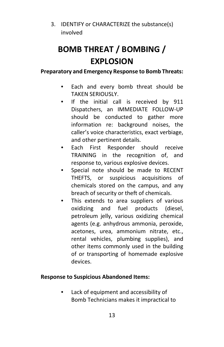3. IDENTIFY or CHARACTERIZE the substance(s) involved

# <span id="page-12-0"></span>**BOMB THREAT / BOMBING / EXPLOSION**

**Preparatory and Emergency Response to Bomb Threats:**

- Each and every bomb threat should be TAKEN SERIOUSLY.
- If the initial call is received by 911 Dispatchers, an IMMEDIATE FOLLOW-UP should be conducted to gather more information re: background noises, the caller's voice characteristics, exact verbiage, and other pertinent details.
- Each First Responder should receive TRAINING in the recognition of, and response to, various explosive devices.
- Special note should be made to RECENT THEFTS, or suspicious acquisitions of chemicals stored on the campus, and any breach of security or theft of chemicals.
- This extends to area suppliers of various oxidizing and fuel products (diesel, petroleum jelly, various oxidizing chemical agents (e.g. anhydrous ammonia, peroxide, acetones, urea, ammonium nitrate, etc., rental vehicles, plumbing supplies), and other items commonly used in the building of or transporting of homemade explosive devices.

### **Response to Suspicious Abandoned Items:**

• Lack of equipment and accessibility of Bomb Technicians makes it impractical to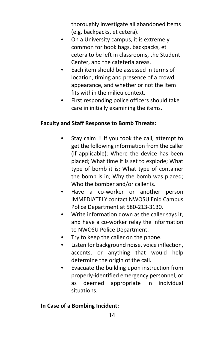thoroughly investigate all abandoned items (e.g. backpacks, et cetera).

- On a University campus, it is extremely common for book bags, backpacks, et cetera to be left in classrooms, the Student Center, and the cafeteria areas.
- Each item should be assessed in terms of location, timing and presence of a crowd, appearance, and whether or not the item fits within the milieu context.
- First responding police officers should take care in initially examining the items.

### **Faculty and Staff Response to Bomb Threats:**

- Stay calm!!! If you took the call, attempt to get the following information from the caller (if applicable): Where the device has been placed; What time it is set to explode; What type of bomb it is; What type of container the bomb is in; Why the bomb was placed; Who the bomber and/or caller is.
- Have a co-worker or another person IMMEDIATELY contact NWOSU Enid Campus Police Department at 580-213-3130.
- Write information down as the caller says it, and have a co-worker relay the information to NWOSU Police Department.
- Try to keep the caller on the phone.
- Listen for background noise, voice inflection, accents, or anything that would help determine the origin of the call.
- Evacuate the building upon instruction from properly-identified emergency personnel, or as deemed appropriate in individual situations.

### **In Case of a Bombing Incident:**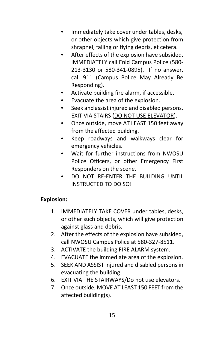- Immediately take cover under tables, desks, or other objects which give protection from shrapnel, falling or flying debris, et cetera.
- After effects of the explosion have subsided, IMMEDIATELY call Enid Campus Police (580- 213-3130 or 580-341-0895). If no answer, call 911 (Campus Police May Already Be Responding).
- Activate building fire alarm, if accessible.
- Evacuate the area of the explosion.
- Seek and assist injured and disabled persons. EXIT VIA STAIRS (DO NOT USE ELEVATOR).
- Once outside, move AT LEAST 150 feet away from the affected building.
- Keep roadways and walkways clear for emergency vehicles.
- Wait for further instructions from NWOSU Police Officers, or other Emergency First Responders on the scene.
- DO NOT RE-ENTER THE BUILDING UNTIL INSTRUCTED TO DO SO!

### **Explosion:**

- 1. IMMEDIATELY TAKE COVER under tables, desks, or other such objects, which will give protection against glass and debris.
- 2. After the effects of the explosion have subsided, call NWOSU Campus Police at 580-327-8511.
- 3. ACTIVATE the building FIRE ALARM system.
- 4. EVACUATE the immediate area of the explosion.
- 5. SEEK AND ASSIST injured and disabled persons in evacuating the building.
- 6. EXIT VIA THE STAIRWAYS/Do not use elevators.
- 7. Once outside, MOVE AT LEAST 150 FEET from the affected building(s).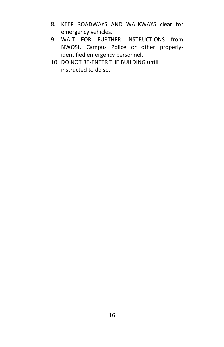- 8. KEEP ROADWAYS AND WALKWAYS clear for emergency vehicles.
- 9. WAIT FOR FURTHER INSTRUCTIONS from NWOSU Campus Police or other properlyidentified emergency personnel.
- 10. DO NOT RE-ENTER THE BUILDING until instructed to do so.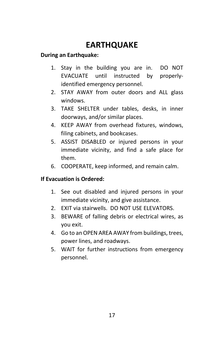# **EARTHQUAKE**

### <span id="page-16-0"></span>**During an Earthquake:**

- 1. Stay in the building you are in. DO NOT EVACUATE until instructed by properlyidentified emergency personnel.
- 2. STAY AWAY from outer doors and ALL glass windows.
- 3. TAKE SHELTER under tables, desks, in inner doorways, and/or similar places.
- 4. KEEP AWAY from overhead fixtures, windows, filing cabinets, and bookcases.
- 5. ASSIST DISABLED or injured persons in your immediate vicinity, and find a safe place for them.
- 6. COOPERATE, keep informed, and remain calm.

### **If Evacuation is Ordered:**

- 1. See out disabled and injured persons in your immediate vicinity, and give assistance.
- 2. EXIT via stairwells. DO NOT USE ELEVATORS.
- 3. BEWARE of falling debris or electrical wires, as you exit.
- 4. Go to an OPEN AREA AWAY from buildings, trees, power lines, and roadways.
- 5. WAIT for further instructions from emergency personnel.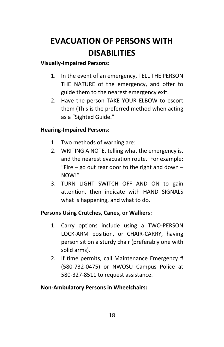# <span id="page-17-0"></span>**EVACUATION OF PERSONS WITH DISABILITIES**

### **Visually-Impaired Persons:**

- 1. In the event of an emergency, TELL THE PERSON THE NATURE of the emergency, and offer to guide them to the nearest emergency exit.
- 2. Have the person TAKE YOUR ELBOW to escort them (This is the preferred method when acting as a "Sighted Guide."

### **Hearing-Impaired Persons:**

- 1. Two methods of warning are:
- 2. WRITING A NOTE, telling what the emergency is, and the nearest evacuation route. For example: "Fire – go out rear door to the right and down – NOW!"
- 3. TURN LIGHT SWITCH OFF AND ON to gain attention, then indicate with HAND SIGNALS what is happening, and what to do.

### **Persons Using Crutches, Canes, or Walkers:**

- 1. Carry options include using a TWO-PERSON LOCK-ARM position, or CHAIR-CARRY, having person sit on a sturdy chair (preferably one with solid arms).
- 2. If time permits, call Maintenance Emergency # (580-732-0475) or NWOSU Campus Police at 580-327-8511 to request assistance.

### **Non-Ambulatory Persons in Wheelchairs:**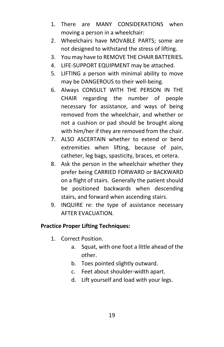- 1. There are MANY CONSIDERATIONS when moving a person in a wheelchair:
- 2. Wheelchairs have MOVABLE PARTS; some are not designed to withstand the stress of lifting.
- 3. You may have to REMOVE THE CHAIR BATTERIES.
- 4. LIFE-SUPPORT EQUIPMENT may be attached.
- 5. LIFTING a person with minimal ability to move may be DANGEROUS to their well-being.
- 6. Always CONSULT WITH THE PERSON IN THE CHAIR regarding the number of people necessary for assistance, and ways of being removed from the wheelchair, and whether or not a cushion or pad should be brought along with him/her if they are removed from the chair.
- 7. ALSO ASCERTAIN whether to extend or bend extremities when lifting, because of pain, catheter, leg bags, spasticity, braces, et cetera.
- 8. Ask the person in the wheelchair whether they prefer being CARRIED FORWARD or BACKWARD on a flight of stairs. Generally the patient should be positioned backwards when descending stairs, and forward when ascending stairs.
- 9. INQUIRE re: the type of assistance necessary AFTER EVACUATION.

### **Practice Proper Lifting Techniques:**

- 1. Correct Position.
	- a. Squat, with one foot a little ahead of the other.
	- b. Toes pointed slightly outward.
	- c. Feet about shoulder-width apart.
	- d. Lift yourself and load with your legs.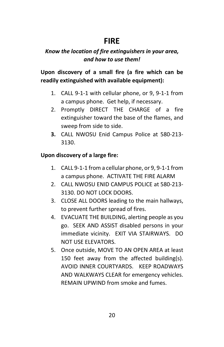### **FIRE**

### <span id="page-19-0"></span>*Know the location of fire extinguishers in your area, and how to use them!*

### **Upon discovery of a small fire (a fire which can be readily extinguished with available equipment):**

- 1. CALL 9-1-1 with cellular phone, or 9, 9-1-1 from a campus phone. Get help, if necessary.
- 2. Promptly DIRECT THE CHARGE of a fire extinguisher toward the base of the flames, and sweep from side to side.
- **3.** CALL NWOSU Enid Campus Police at 580-213- 3130.

### **Upon discovery of a large fire:**

- 1. CALL 9-1-1 from a cellular phone, or 9, 9-1-1 from a campus phone. ACTIVATE THE FIRE ALARM
- 2. CALL NWOSU ENID CAMPUS POLICE at 580-213- 3130. DO NOT LOCK DOORS.
- 3. CLOSE ALL DOORS leading to the main hallways, to prevent further spread of fires.
- 4. EVACUATE THE BUILDING, alerting people as you go. SEEK AND ASSIST disabled persons in your immediate vicinity. EXIT VIA STAIRWAYS. DO NOT USE ELEVATORS.
- 5. Once outside, MOVE TO AN OPEN AREA at least 150 feet away from the affected building(s). AVOID INNER COURTYARDS. KEEP ROADWAYS AND WALKWAYS CLEAR for emergency vehicles. REMAIN UPWIND from smoke and fumes.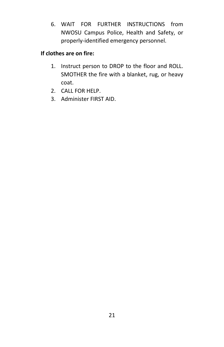6. WAIT FOR FURTHER INSTRUCTIONS from NWOSU Campus Police, Health and Safety, or properly-identified emergency personnel.

### **If clothes are on fire:**

- 1. Instruct person to DROP to the floor and ROLL. SMOTHER the fire with a blanket, rug, or heavy coat.
- 2. CALL FOR HELP.
- 3. Administer FIRST AID.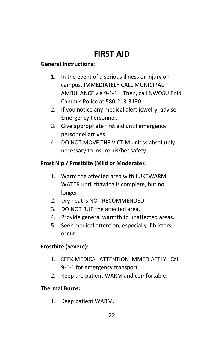# **FIRST AID**

### <span id="page-21-0"></span>**General Instructions:**

- 1. In the event of a serious illness or injury on campus, IMMEDIATELY CALL MUNICIPAL AMBULANCE via 9-1-1. Then, call NWOSU Enid Campus Police at 580-213-3130.
- 2. If you notice any medical alert jewelry, advise Emergency Personnel.
- 3. Give appropriate first aid until emergency personnel arrives.
- 4. DO NOT MOVE THE VICTIM unless absolutely necessary to insure his/her safety.

### **Frost Nip / Frostbite (Mild or Moderate):**

- 1. Warm the affected area with LUKEWARM WATER until thawing is complete, but no longer.
- 2. Dry heat is NOT RECOMMENDED.
- 3. DO NOT RUB the affected area.
- 4. Provide general warmth to unaffected areas.
- 5. Seek medical attention, especially if blisters occur.

### **Frostbite (Severe):**

- 1. SEEK MEDICAL ATTENTION IMMEDIATELY. Call 9-1-1 for emergency transport.
- 2. Keep the patient WARM and comfortable.

### **Thermal Burns:**

1. Keep patient WARM.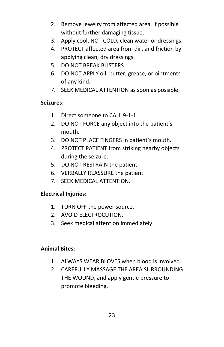- 2. Remove jewelry from affected area, if possible without further damaging tissue.
- 3. Apply cool, NOT COLD, clean water or dressings.
- 4. PROTECT affected area from dirt and friction by applying clean, dry dressings.
- 5. DO NOT BREAK BLISTERS.
- 6. DO NOT APPLY oil, butter, grease, or ointments of any kind.
- 7. SEEK MEDICAL ATTENTION as soon as possible.

### **Seizures:**

- 1. Direct someone to CALL 9-1-1.
- 2. DO NOT FORCE any object into the patient's mouth.
- 3. DO NOT PLACE FINGERS in patient's mouth.
- 4. PROTECT PATIENT from striking nearby objects during the seizure.
- 5. DO NOT RESTRAIN the patient.
- 6. VERBALLY REASSURE the patient.
- 7. SEEK MEDICAL ATTENTION.

### **Electrical Injuries:**

- 1. TURN OFF the power source.
- 2. AVOID ELECTROCUTION.
- 3. Seek medical attention immediately.

### **Animal Bites:**

- 1. ALWAYS WEAR BLOVES when blood is involved.
- 2. CAREFULLY MASSAGE THE AREA SURROUNDING THE WOUND, and apply gentle pressure to promote bleeding.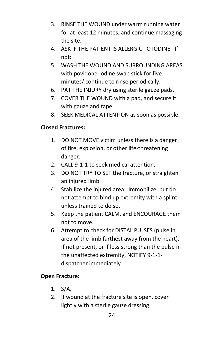- 3. RINSE THE WOUND under warm running water for at least 12 minutes, and continue massaging the site.
- 4. ASK IF THE PATIENT IS ALLERGIC TO IODINE. If not:
- 5. WASH THE WOUND AND SURROUNDING AREAS with povidone-iodine swab stick for five minutes/ continue to rinse periodically.
- 6. PAT THE INJURY dry using sterile gauze pads.
- 7. COVER THE WOUND with a pad, and secure it with gauze and tape.
- 8. SEEK MEDICAL ATTENTION as soon as possible.

### **Closed Fractures:**

- 1. DO NOT MOVE victim unless there is a danger of fire, explosion, or other life-threatening danger.
- 2. CALL 9-1-1 to seek medical attention.
- 3. DO NOT TRY TO SET the fracture, or straighten an injured limb.
- 4. Stabilize the injured area. Immobilize, but do not attempt to bind up extremity with a splint, unless trained to do so.
- 5. Keep the patient CALM, and ENCOURAGE them not to move.
- 6. Attempt to check for DISTAL PULSES (pulse in area of the limb farthest away from the heart). If not present, or if less strong than the pulse in the unaffected extremity, NOTIFY 9-1-1 dispatcher immediately.

### **Open Fracture:**

- 1. S/A.
- 2. If wound at the fracture site is open, cover lightly with a sterile gauze dressing.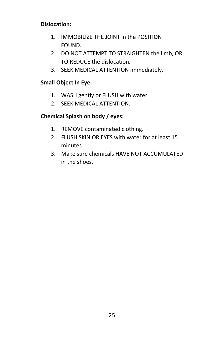### **Dislocation:**

- 1. IMMOBILIZE THE JOINT in the POSITION FOUND.
- 2. DO NOT ATTEMPT TO STRAIGHTEN the limb, OR TO REDUCE the dislocation.
- 3. SEEK MEDICAL ATTENTION immediately.

### **Small Object In Eye:**

- 1. WASH gently or FLUSH with water.
- 2. SEEK MEDICAL ATTENTION.

### **Chemical Splash on body / eyes:**

- 1. REMOVE contaminated clothing.
- 2. FLUSH SKIN OR EYES with water for at least 15 minutes.
- 3. Make sure chemicals HAVE NOT ACCUMULATED in the shoes.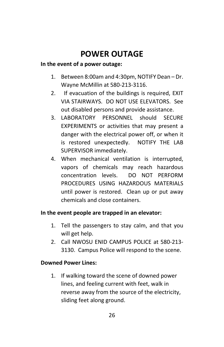# **POWER OUTAGE**

### <span id="page-25-0"></span>**In the event of a power outage:**

- 1. Between 8:00am and 4:30pm, NOTIFY Dean Dr. Wayne McMillin at 580-213-3116.
- 2. If evacuation of the buildings is required, EXIT VIA STAIRWAYS. DO NOT USE ELEVATORS. See out disabled persons and provide assistance.
- 3. LABORATORY PERSONNEL should SECURE EXPERIMENTS or activities that may present a danger with the electrical power off, or when it is restored unexpectedly. NOTIFY THE LAB SUPERVISOR immediately.
- 4. When mechanical ventilation is interrupted, vapors of chemicals may reach hazardous concentration levels. DO NOT PERFORM PROCEDURES USING HAZARDOUS MATERIALS until power is restored. Clean up or put away chemicals and close containers.

### **In the event people are trapped in an elevator:**

- 1. Tell the passengers to stay calm, and that you will get help.
- 2. Call NWOSU ENID CAMPUS POLICE at 580-213- 3130. Campus Police will respond to the scene.

### **Downed Power Lines:**

1. If walking toward the scene of downed power lines, and feeling current with feet, walk in reverse away from the source of the electricity, sliding feet along ground.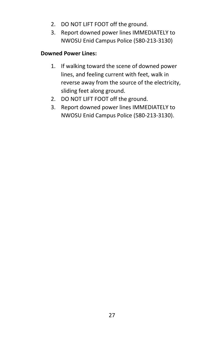- 2. DO NOT LIFT FOOT off the ground.
- 3. Report downed power lines IMMEDIATELY to NWOSU Enid Campus Police (580-213-3130)

### **Downed Power Lines:**

- 1. If walking toward the scene of downed power lines, and feeling current with feet, walk in reverse away from the source of the electricity, sliding feet along ground.
- 2. DO NOT LIFT FOOT off the ground.
- 3. Report downed power lines IMMEDIATELY to NWOSU Enid Campus Police (580-213-3130).